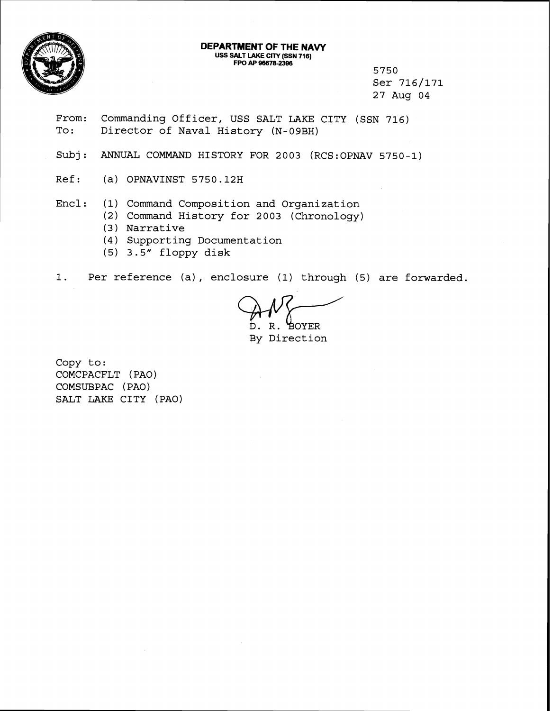

## **DEPARTMENT OF THE NAVY** USS SALT LAKE CITY (SSN 716)<br>
FPO AP 96678-2396

5750 Ser 716/171 27 Aug 04

- From: Commanding Officer, USS SALT LAKE CITY (SSN 716)<br>To: Director of Naval History (N-09BH) Director of Naval History (N-09BH)
- Subj: ANNUAL COMMAND HISTORY FOR 2003 (RCS:OPNAV 5750-1)
- Ref: (a) OPNAVINST 5750.12H
- Encl: (1) Command Composition and Organization
	- **(2)** Command History for 2003 (Chronology)
	- (3) Narrative
	- (4) Supporting Documentation
	- (5) 3.5" floppy disk

1. Per reference (a) , enclosure **(1)** through (5) are forwarded.

D. R. BOYER

By Direction

Copy to: COMCPACFLT (PAO) COMSUBPAC ( PAO) SALT LAKE CITY (PAO)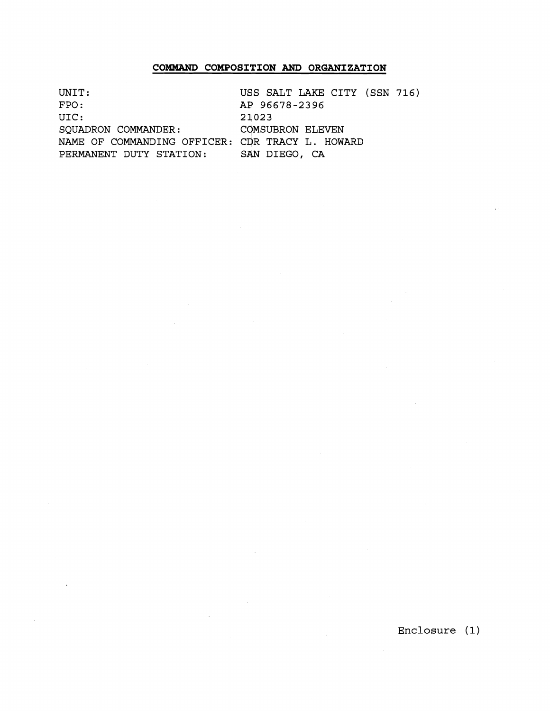## **COMMAND COMPOSITION AND ORGANIZATION**

UNIT: USS SALT LAKE CITY (SSN 716)<br>FPO: AP 96678-2396 FPO: AP 96678-2396<br>UIC: 21023 21023<br>COMSUBRON ELEVEN SQUADRON COMMANDER: NAME OF COMMANDING OFFICER: CDR TRACY L. HOWARD PERMANENT DUTY STATION: SAN DIEGO, CA

Enclosure (1)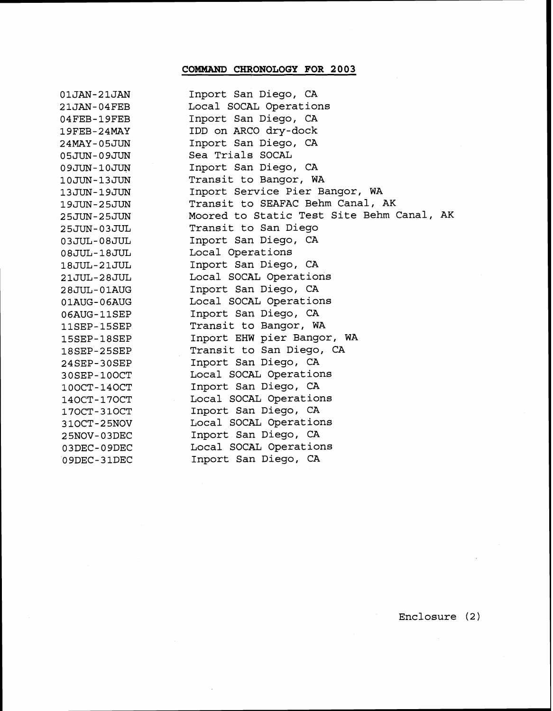## **COMMAND CHRONOLOGY FOR 2003**

| 01JAN-21JAN                 | Inport San Diego, CA                      |
|-----------------------------|-------------------------------------------|
| $21$ JAN-04FEB              | Local SOCAL Operations                    |
| $04$ FEB-19FEB              | Inport San Diego, CA                      |
| 19FEB-24MAY                 | IDD on ARCO dry-dock                      |
| 24MAY-05JUN                 | Inport San Diego, CA                      |
| 05JUN-09JUN                 | Sea Trials SOCAL                          |
| 09JUN-10JUN                 | Inport San Diego, CA                      |
| 10JUN-13JUN                 | Transit to Bangor, WA                     |
| 13JUN-19JUN                 | Inport Service Pier Bangor, WA            |
| 19JUN-25JUN                 | Transit to SEAFAC Behm Canal, AK          |
| 25JUN-25JUN                 | Moored to Static Test Site Behm Canal, AK |
| 25JUN-03JUL                 | Transit to San Diego                      |
| $03\texttt{JUL-08JUL}$      | Inport San Diego, CA                      |
| $08\text{JUL}-18\text{JUL}$ | Local Operations                          |
| 18JUL-21JUL                 | Inport San Diego, CA                      |
| 21JUL-28JUL                 | Local SOCAL Operations                    |
| $28JUL-01AUG$               | Inport San Diego, CA                      |
| 01AUG-06AUG                 | Local SOCAL Operations                    |
| 06AUG-11SEP                 | Inport San Diego, CA                      |
| 11SEP-15SEP                 | Transit to Bangor, WA                     |
| 15SEP-18SEP                 | Inport EHW pier Bangor, WA                |
| $18$ SEP-25SEP              | Transit to San Diego, CA                  |
| 24SEP-30SEP                 | Inport San Diego, CA                      |
| 30SEP-10OCT                 | Local SOCAL Operations                    |
| 100CT-140CT                 | Inport San Diego, CA                      |
| 140CT-170CT                 | Local SOCAL Operations                    |
| 170CT-310CT                 | Inport San Diego, CA                      |
| 310CT-25NOV                 | Local SOCAL Operations                    |
| 25NOV-03DEC                 | Inport San Diego, CA                      |
| 03DEC-09DEC                 | Local SOCAL Operations                    |
| 09DEC-31DEC                 | Inport San Diego, CA                      |

Enclosure (2)